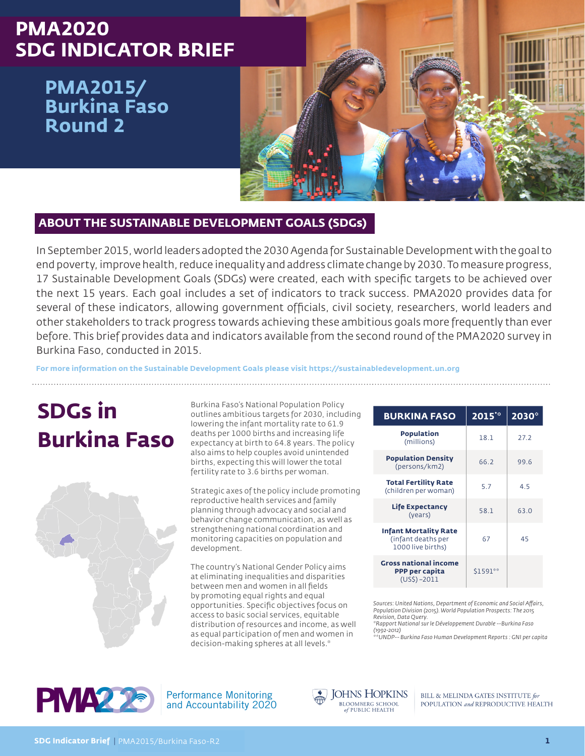# **PMA2020 SDG INDICATOR BRIEF**

**PMA2015/ Burkina Faso Round 2**



## **ABOUT THE SUSTAINABLE DEVELOPMENT GOALS (SDGs)**

In September 2015, world leaders adopted the 2030 Agenda for Sustainable Development with the goal to end poverty, improve health, reduce inequality and address climate change by 2030. To measure progress, 17 Sustainable Development Goals (SDGs) were created, each with specific targets to be achieved over the next 15 years. Each goal includes a set of indicators to track success. PMA2020 provides data for several of these indicators, allowing government officials, civil society, researchers, world leaders and other stakeholders to track progress towards achieving these ambitious goals more frequently than ever before. This brief provides data and indicators available from the second round of the PMA2020 survey in Burkina Faso, conducted in 2015.

**For more information on the Sustainable Development Goals please visit https://sustainabledevelopment.un.org**

# **SDGs in Burkina Faso**



Burkina Faso's National Population Policy outlines ambitious targets for 2030, including lowering the infant mortality rate to 61.9 deaths per 1000 births and increasing life expectancy at birth to 64.8 years. The policy also aims to help couples avoid unintended births, expecting this will lower the total fertility rate to 3.6 births per woman.

Strategic axes of the policy include promoting reproductive health services and family planning through advocacy and social and behavior change communication, as well as strengthening national coordination and monitoring capacities on population and development.

The country's National Gender Policy aims at eliminating inequalities and disparities between men and women in all fields by promoting equal rights and equal opportunities. Specific objectives focus on access to basic social services, equitable distribution of resources and income, as well as equal participation of men and women in decision-making spheres at all levels.\*

| <b>BURKINA FASO</b>                                                      | 2015    | 2030 |
|--------------------------------------------------------------------------|---------|------|
| <b>Population</b><br>(millions)                                          | 18.1    | 27.2 |
| <b>Population Density</b><br>(persons/km2)                               | 66.2    | 99.6 |
| <b>Total Fertility Rate</b><br>(children per woman)                      | 5.7     | 4.5  |
| <b>Life Expectancy</b><br>(years)                                        | 58.1    | 63.0 |
| <b>Infant Mortality Rate</b><br>(infant deaths per<br>1000 live births)  | 67      | 45   |
| <b>Gross national income</b><br><b>PPP per capita</b><br>$(US\$) - 2011$ | S1591** |      |

*Sources: United Nations, Department of Economic and Social Affairs, Population Division (2015). World Population Prospects: The 2015 Revision, Data Query.* 

*\*Rapport National sur le Développement Durable --Burkina Faso (1992-2012)*

*\*\*UNDP-- Burkina Faso Human Development Reports : GNI per capita* 



**Performance Monitoring** and Accountability 2020



BILL & MELINDA GATES INSTITUTE for POPULATION and REPRODUCTIVE HEALTH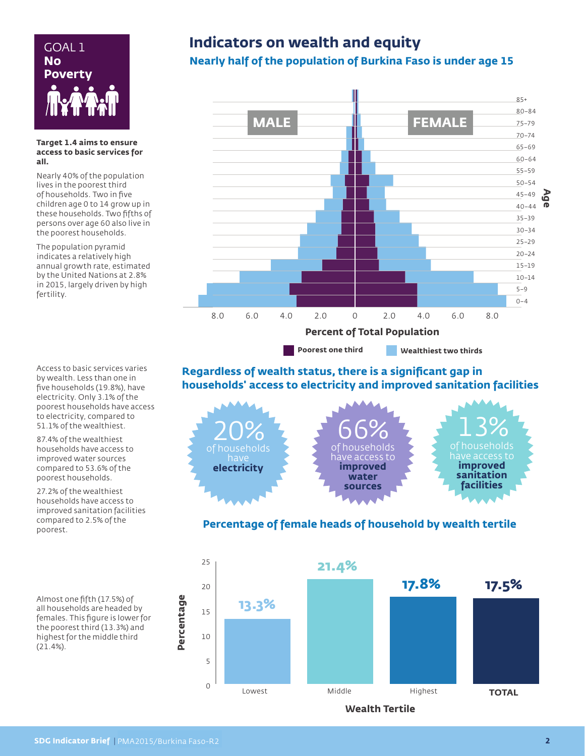

#### **Target 1.4 aims to ensure access to basic services for all.**

Nearly 40% of the population lives in the poorest third of households. Two in five children age 0 to 14 grow up in these households. Two fifths of persons over age 60 also live in the poorest households.

The population pyramid indicates a relatively high annual growth rate, estimated by the United Nations at 2.8% in 2015, largely driven by high fertility.

Access to basic services varies by wealth. Less than one in five households (19.8%), have electricity. Only 3.1% of the poorest households have access to electricity, compared to 51.1% of the wealthiest.

87.4% of the wealthiest households have access to improved water sources compared to 53.6% of the poorest households.

27.2% of the wealthiest households have access to improved sanitation facilities compared to 2.5% of the poorest.

Almost one fifth (17.5%) of all households are headed by females. This figure is lower for the poorest third (13.3%) and highest for the middle third (21.4%).

## GOAL 1 **Indicators on wealth and equity**

## **Nearly half of the population of Burkina Faso is under age 15**



**Poorest one third Wealthiest two thirds**

### **Regardless of wealth status, there is a significant gap in households' access to electricity and improved sanitation facilities**



### **Percentage of female heads of household by wealth tertile**



**Wealth Tertile**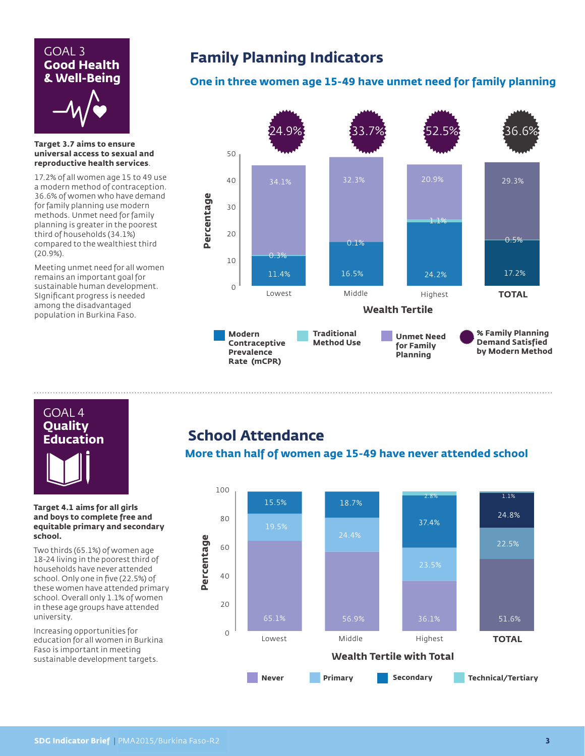## GOAL 3 **Good Health & Well-Being**



**Target 3.7 aims to ensure universal access to sexual and reproductive health services**.

17.2% of all women age 15 to 49 use a modern method of contraception. 36.6% of women who have demand for family planning use modern methods. Unmet need for family planning is greater in the poorest third of households (34.1%) compared to the wealthiest third (20.9%).

Meeting unmet need for all women remains an important goal for sustainable human development. SIgnificant progress is needed among the disadvantaged population in Burkina Faso.

## **Family Planning Indicators**

## **One in three women age 15-49 have unmet need for family planning**



# GOAL 4 **Quality Education**

#### **Target 4.1 aims for all girls and boys to complete free and equitable primary and secondary school.**

Two thirds (65.1%) of women age 18-24 living in the poorest third of households have never attended school. Only one in five (22.5%) of these women have attended primary school. Overall only 1.1% of women in these age groups have attended university.

Increasing opportunities for education for all women in Burkina Faso is important in meeting sustainable development targets.

# **School Attendance**

## **More than half of women age 15-49 have never attended school**